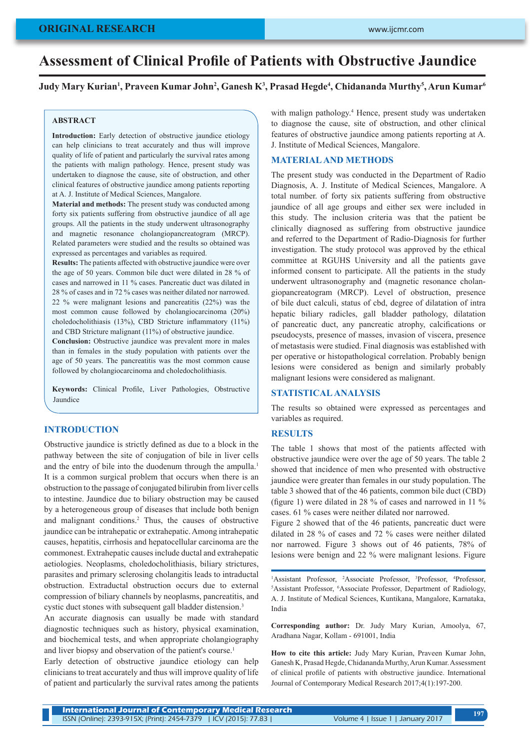#### www.ijcmr.com

### **ORIGINAL RESEARCH**

# **Assessment of Clinical Profile of Patients with Obstructive Jaundice**

### **Judy Mary Kurian<sup>1</sup> , Praveen Kumar John<sup>2</sup> , Ganesh K<sup>3</sup> , Prasad Hegde<sup>4</sup> , Chidananda Murthy<sup>5</sup> , Arun Kumar<sup>6</sup>**

#### **ABSTRACT**

**Introduction:** Early detection of obstructive jaundice etiology can help clinicians to treat accurately and thus will improve quality of life of patient and particularly the survival rates among the patients with malign pathology. Hence, present study was undertaken to diagnose the cause, site of obstruction, and other clinical features of obstructive jaundice among patients reporting at A. J. Institute of Medical Sciences, Mangalore.

**Material and methods:** The present study was conducted among forty six patients suffering from obstructive jaundice of all age groups. All the patients in the study underwent ultrasonography and magnetic resonance cholangiopancreatogram (MRCP). Related parameters were studied and the results so obtained was expressed as percentages and variables as required.

**Results:** The patients affected with obstructive jaundice were over the age of 50 years. Common bile duct were dilated in 28 % of cases and narrowed in 11 % cases. Pancreatic duct was dilated in 28 % of cases and in 72 % cases was neither dilated nor narrowed. 22 % were malignant lesions and pancreatitis (22%) was the most common cause followed by cholangiocarcinoma (20%) choledocholithiasis (13%), CBD Stricture inflammatory (11%) and CBD Stricture malignant (11%) of obstructive jaundice.

Conclusion: Obstructive jaundice was prevalent more in males than in females in the study population with patients over the age of 50 years. The pancreatitis was the most common cause followed by cholangiocarcinoma and choledocholithiasis.

**Keywords:** Clinical Profile, Liver Pathologies, Obstructive Jaundice

#### **INTRODUCTION**

Obstructive jaundice is strictly defined as due to a block in the pathway between the site of conjugation of bile in liver cells and the entry of bile into the duodenum through the ampulla.<sup>1</sup> It is a common surgical problem that occurs when there is an obstruction to the passage of conjugated bilirubin from liver cells to intestine. Jaundice due to biliary obstruction may be caused by a heterogeneous group of diseases that include both benign and malignant conditions.<sup>2</sup> Thus, the causes of obstructive jaundice can be intrahepatic or extrahepatic. Among intrahepatic causes, hepatitis, cirrhosis and hepatocellular carcinoma are the commonest. Extrahepatic causes include ductal and extrahepatic aetiologies. Neoplasms, choledocholithiasis, biliary strictures, parasites and primary sclerosing cholangitis leads to intraductal obstruction. Extraductal obstruction occurs due to external compression of biliary channels by neoplasms, pancreatitis, and cystic duct stones with subsequent gall bladder distension.<sup>3</sup>

An accurate diagnosis can usually be made with standard diagnostic techniques such as history, physical examination, and biochemical tests, and when appropriate cholangiography and liver biopsy and observation of the patient's course.<sup>1</sup>

Early detection of obstructive jaundice etiology can help clinicians to treat accurately and thus will improve quality of life of patient and particularly the survival rates among the patients

with malign pathology.<sup>4</sup> Hence, present study was undertaken to diagnose the cause, site of obstruction, and other clinical features of obstructive jaundice among patients reporting at A. J. Institute of Medical Sciences, Mangalore.

#### **MATERIAL AND METHODS**

The present study was conducted in the Department of Radio Diagnosis, A. J. Institute of Medical Sciences, Mangalore. A total number. of forty six patients suffering from obstructive jaundice of all age groups and either sex were included in this study. The inclusion criteria was that the patient be clinically diagnosed as suffering from obstructive jaundice and referred to the Department of Radio-Diagnosis for further investigation. The study protocol was approved by the ethical committee at RGUHS University and all the patients gave informed consent to participate. All the patients in the study underwent ultrasonography and (magnetic resonance cholangiopancreatogram (MRCP). Level of obstruction, presence of bile duct calculi, status of cbd, degree of dilatation of intra hepatic biliary radicles, gall bladder pathology, dilatation of pancreatic duct, any pancreatic atrophy, calcifications or pseudocysts, presence of masses, invasion of viscera, presence of metastasis were studied. Final diagnosis was established with per operative or histopathological correlation. Probably benign lesions were considered as benign and similarly probably malignant lesions were considered as malignant.

#### **STATISTICAL ANALYSIS**

The results so obtained were expressed as percentages and variables as required.

#### **RESULTS**

The table 1 shows that most of the patients affected with obstructive jaundice were over the age of 50 years. The table 2 showed that incidence of men who presented with obstructive jaundice were greater than females in our study population. The table 3 showed that of the 46 patients, common bile duct (CBD) (figure 1) were dilated in 28 % of cases and narrowed in 11 % cases. 61 % cases were neither dilated nor narrowed.

Figure 2 showed that of the 46 patients, pancreatic duct were dilated in 28 % of cases and 72 % cases were neither dilated nor narrowed. Figure 3 shows out of 46 patients, 78% of lesions were benign and 22 % were malignant lesions. Figure

<sup>1</sup>Assistant Professor, <sup>2</sup>Associate Professor, <sup>3</sup>Professor, <sup>4</sup>Professor, <sup>5</sup>Associate Professor, Department of Radiology Assistant Professor, 6 Associate Professor, Department of Radiology, A. J. Institute of Medical Sciences, Kuntikana, Mangalore, Karnataka, India

**Corresponding author:** Dr. Judy Mary Kurian, Amoolya, 67, Aradhana Nagar, Kollam - 691001, India

**How to cite this article:** Judy Mary Kurian, Praveen Kumar John, Ganesh K, Prasad Hegde, Chidananda Murthy, Arun Kumar. Assessment of clinical profile of patients with obstructive jaundice. International Journal of Contemporary Medical Research 2017;4(1):197-200.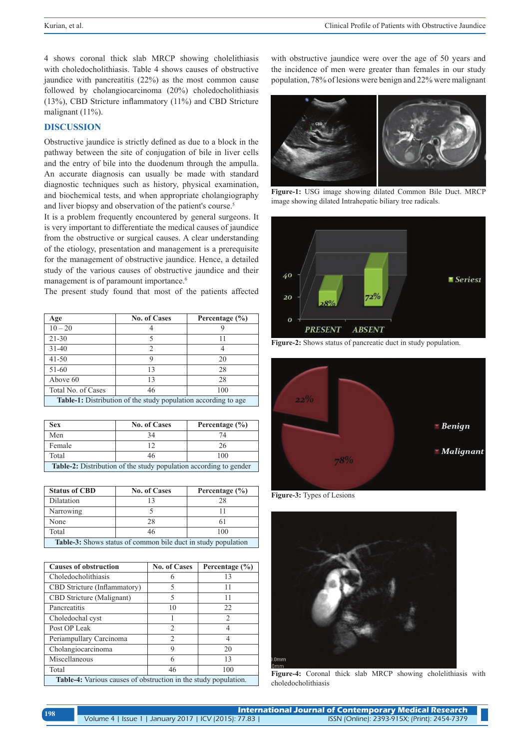4 shows coronal thick slab MRCP showing cholelithiasis with choledocholithiasis. Table 4 shows causes of obstructive jaundice with pancreatitis (22%) as the most common cause followed by cholangiocarcinoma (20%) choledocholithiasis (13%), CBD Stricture inflammatory (11%) and CBD Stricture malignant (11%).

## **DISCUSSION**

Obstructive jaundice is strictly defined as due to a block in the pathway between the site of conjugation of bile in liver cells and the entry of bile into the duodenum through the ampulla. An accurate diagnosis can usually be made with standard diagnostic techniques such as history, physical examination, and biochemical tests, and when appropriate cholangiography and liver biopsy and observation of the patient's course.<sup>5</sup>

It is a problem frequently encountered by general surgeons. It is very important to differentiate the medical causes of jaundice from the obstructive or surgical causes. A clear understanding of the etiology, presentation and management is a prerequisite for the management of obstructive jaundice. Hence, a detailed study of the various causes of obstructive jaundice and their management is of paramount importance.<sup>6</sup>

The present study found that most of the patients affected

| Age                                                                   | <b>No. of Cases</b> | Percentage (%) |  |
|-----------------------------------------------------------------------|---------------------|----------------|--|
| $10 - 20$                                                             |                     |                |  |
| $21 - 30$                                                             |                     | 11             |  |
| $31 - 40$                                                             | っ                   |                |  |
| $41 - 50$                                                             | Q                   | 20             |  |
| 51-60                                                                 | 13                  | 28             |  |
| Above 60                                                              | 13                  | 28             |  |
| Total No. of Cases                                                    | 46                  | 100            |  |
| <b>Table-1:</b> Distribution of the study population according to age |                     |                |  |

| <b>Sex</b>                                                               | <b>No. of Cases</b> | Percentage $(\% )$ |  |
|--------------------------------------------------------------------------|---------------------|--------------------|--|
| Men                                                                      | 34                  | 74                 |  |
| Female                                                                   | 12                  | 26                 |  |
| Total                                                                    | 46                  | 100                |  |
| <b>Table-2:</b> Distribution of the study population according to gender |                     |                    |  |

| <b>Status of CBD</b>                                                 | <b>No. of Cases</b> | Percentage $(\% )$ |  |
|----------------------------------------------------------------------|---------------------|--------------------|--|
| Dilatation                                                           |                     | 28                 |  |
| Narrowing                                                            |                     |                    |  |
| None                                                                 | 28                  |                    |  |
| Total                                                                |                     | 100                |  |
| <b>Table-3:</b> Shows status of common bile duct in study population |                     |                    |  |

| <b>Causes of obstruction</b>                                           | <b>No. of Cases</b> | Percentage (%) |  |
|------------------------------------------------------------------------|---------------------|----------------|--|
| Choledocholithiasis                                                    | 6                   | 13             |  |
| CBD Stricture (Inflammatory)                                           | 5                   | 11             |  |
| <b>CBD</b> Stricture (Malignant)                                       | 5                   | 11             |  |
| Pancreatitis                                                           | 10                  | 22             |  |
| Choledochal cyst                                                       |                     | $\overline{c}$ |  |
| Post OP Leak                                                           | $\mathfrak{D}$      | 4              |  |
| Periampullary Carcinoma                                                | $\mathfrak{D}$      | 4              |  |
| Cholangiocarcinoma                                                     | 9                   | 20             |  |
| Miscellaneous                                                          | 6                   | 13             |  |
| Total                                                                  | 46                  | 100            |  |
| <b>Table-4:</b> Various causes of obstruction in the study population. |                     |                |  |

with obstructive jaundice were over the age of 50 years and the incidence of men were greater than females in our study population, 78% of lesions were benign and 22% were malignant



**Figure-1:** USG image showing dilated Common Bile Duct. MRCP image showing dilated Intrahepatic biliary tree radicals.



**Figure-2:** Shows status of pancreatic duct in study population.



**Figure-3:** Types of Lesions



**Figure-4:** Coronal thick slab MRCP showing cholelithiasis with choledocholithiasis

| 198 | International Journal of Contemporary Medical Research |  |                                              |
|-----|--------------------------------------------------------|--|----------------------------------------------|
|     | Volume 4   Issue 1   January 2017   ICV (2015): 77.83  |  | ISSN (Online): 2393-915X; (Print): 2454-7379 |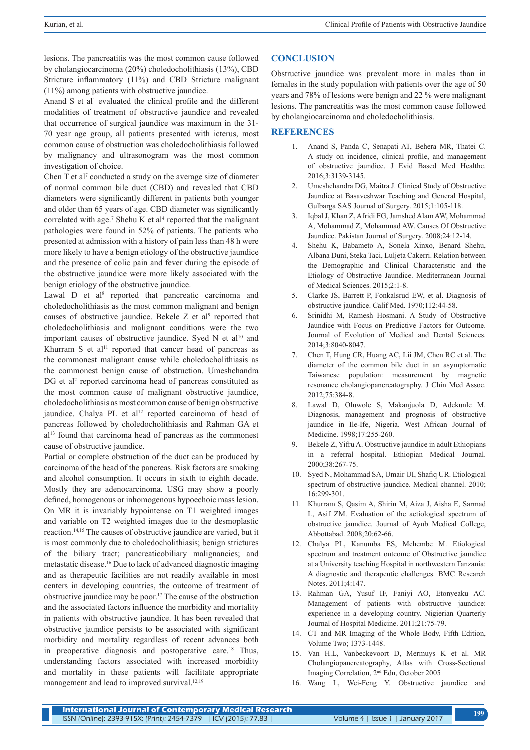lesions. The pancreatitis was the most common cause followed by cholangiocarcinoma (20%) choledocholithiasis (13%), CBD Stricture inflammatory (11%) and CBD Stricture malignant (11%) among patients with obstructive jaundice.

Anand S et al<sup>1</sup> evaluated the clinical profile and the different modalities of treatment of obstructive jaundice and revealed that occurrence of surgical jaundice was maximum in the 31- 70 year age group, all patients presented with icterus, most common cause of obstruction was choledocholithiasis followed by malignancy and ultrasonogram was the most common investigation of choice.

Chen  $T$  et al<sup>7</sup> conducted a study on the average size of diameter of normal common bile duct (CBD) and revealed that CBD diameters were significantly different in patients both younger and older than 65 years of age. CBD diameter was significantly correlated with age.<sup>7</sup> Shehu K et al<sup>4</sup> reported that the malignant pathologies were found in 52% of patients. The patients who presented at admission with a history of pain less than 48 h were more likely to have a benign etiology of the obstructive jaundice and the presence of colic pain and fever during the episode of the obstructive jaundice were more likely associated with the benign etiology of the obstructive jaundice.

Lawal D et al<sup>8</sup> reported that pancreatic carcinoma and choledocholithiasis as the most common malignant and benign causes of obstructive jaundice. Bekele  $Z$  et al<sup>9</sup> reported that choledocholithiasis and malignant conditions were the two important causes of obstructive jaundice. Syed N et al<sup>10</sup> and Khurram S et al<sup>11</sup> reported that cancer head of pancreas as the commonest malignant cause while choledocholithiasis as the commonest benign cause of obstruction. Umeshchandra DG et al<sup>2</sup> reported carcinoma head of pancreas constituted as the most common cause of malignant obstructive jaundice, choledocholithiasis as most common cause of benign obstructive jaundice. Chalya PL et al<sup>12</sup> reported carcinoma of head of pancreas followed by choledocholithiasis and Rahman GA et al13 found that carcinoma head of pancreas as the commonest cause of obstructive jaundice.

Partial or complete obstruction of the duct can be produced by carcinoma of the head of the pancreas. Risk factors are smoking and alcohol consumption. It occurs in sixth to eighth decade. Mostly they are adenocarcinoma. USG may show a poorly defined, homogenous or inhomogenous hypoechoic mass lesion. On MR it is invariably hypointense on T1 weighted images and variable on T2 weighted images due to the desmoplastic reaction.14,15 The causes of obstructive jaundice are varied, but it is most commonly due to choledocholithiasis; benign strictures of the biliary tract; pancreaticobiliary malignancies; and metastatic disease.16 Due to lack of advanced diagnostic imaging and as therapeutic facilities are not readily available in most centers in developing countries, the outcome of treatment of obstructive jaundice may be poor.17 The cause of the obstruction and the associated factors influence the morbidity and mortality in patients with obstructive jaundice. It has been revealed that obstructive jaundice persists to be associated with significant morbidity and mortality regardless of recent advances both in preoperative diagnosis and postoperative care.18 Thus, understanding factors associated with increased morbidity and mortality in these patients will facilitate appropriate management and lead to improved survival.<sup>12,19</sup>

#### **CONCLUSION**

Obstructive jaundice was prevalent more in males than in females in the study population with patients over the age of 50 years and 78% of lesions were benign and 22 % were malignant lesions. The pancreatitis was the most common cause followed by cholangiocarcinoma and choledocholithiasis.

### **REFERENCES**

- 1. Anand S, Panda C, Senapati AT, Behera MR, Thatei C. A study on incidence, clinical profile, and management of obstructive jaundice. J Evid Based Med Healthc. 2016;3:3139-3145.
- 2. Umeshchandra DG, Maitra J. Clinical Study of Obstructive Jaundice at Basaveshwar Teaching and General Hospital, Gulbarga SAS Journal of Surgery. 2015;1:105-118.
- 3. Iqbal J, Khan Z, Afridi FG, Jamshed Alam AW, Mohammad A, Mohammad Z, Mohammad AW. Causes Of Obstructive Jaundice. Pakistan Journal of Surgery. 2008;24:12-14.
- 4. Shehu K, Babameto A, Sonela Xinxo, Benard Shehu, Albana Duni, Steka Taci, Luljeta Cakerri. Relation between the Demographic and Clinical Characteristic and the Etiology of Obstructive Jaundice. Mediterranean Journal of Medical Sciences. 2015;2:1-8.
- 5. Clarke JS, Barrett P, Fonkalsrud EW, et al. Diagnosis of obstructive jaundice. Calif Med. 1970;112:44-58.
- 6. Srinidhi M, Ramesh Hosmani. A Study of Obstructive Jaundice with Focus on Predictive Factors for Outcome. Journal of Evolution of Medical and Dental Sciences. 2014;3:8040-8047.
- 7. Chen T, Hung CR, Huang AC, Lii JM, Chen RC et al. The diameter of the common bile duct in an asymptomatic Taiwanese population: measurement by magnetic resonance cholangiopancreatography. J Chin Med Assoc. 2012;75:384-8.
- 8. Lawal D, Oluwole S, Makanjuola D, Adekunle M. Diagnosis, management and prognosis of obstructive jaundice in Ile-Ife, Nigeria. West African Journal of Medicine. 1998;17:255-260.
- 9. Bekele Z, Yifru A. Obstructive jaundice in adult Ethiopians in a referral hospital. Ethiopian Medical Journal. 2000;38:267-75.
- 10. Syed N, Mohammad SA, Umair UI, Shafiq UR. Etiological spectrum of obstructive jaundice. Medical channel. 2010; 16:299-301.
- 11. Khurram S, Qasim A, Shirin M, Aiza J, Aisha E, Sarmad L, Asif ZM. Evaluation of the aetiological spectrum of obstructive jaundice. Journal of Ayub Medical College, Abbottabad. 2008;20:62-66.
- 12. Chalya PL, Kanumba ES, Mchembe M. Etiological spectrum and treatment outcome of Obstructive jaundice at a University teaching Hospital in northwestern Tanzania: A diagnostic and therapeutic challenges. BMC Research Notes. 2011;4:147.
- 13. Rahman GA, Yusuf IF, Faniyi AO, Etonyeaku AC. Management of patients with obstructive jaundice: experience in a developing country. Nigierian Quarterly Journal of Hospital Medicine. 2011;21:75-79.
- 14. CT and MR Imaging of the Whole Body, Fifth Edition, Volume Two; 1373-1448.
- 15. Van H.L, Vanbeckevoort D, Mermuys K et al. MR Cholangiopancreatography, Atlas with Cross-Sectional Imaging Correlation, 2nd Edn, October 2005
- 16. Wang L, Wei-Feng Y. Obstructive jaundice and